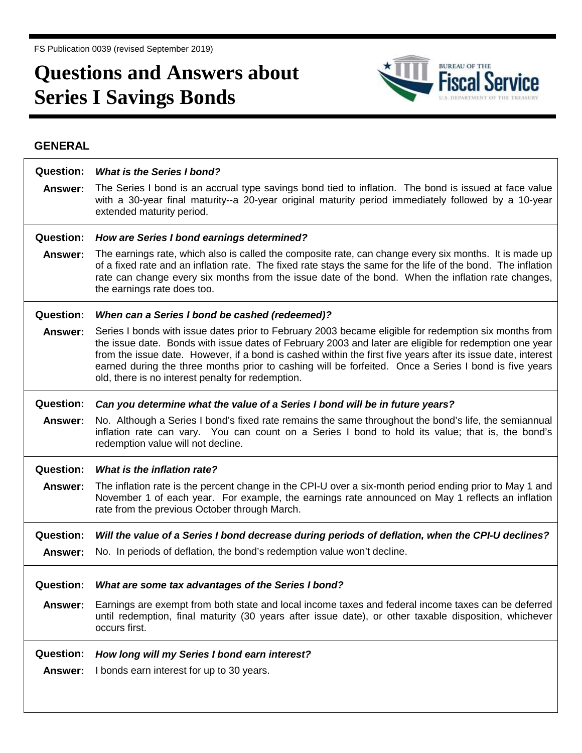FS Publication 0039 (revised September 2019)

## **Questions and Answers about Series I Savings Bonds**



## **GENERAL**

| <b>Question:</b> | <b>What is the Series I bond?</b>                                                                                                                                                                                                                                                                                                                                                                                                                                                             |
|------------------|-----------------------------------------------------------------------------------------------------------------------------------------------------------------------------------------------------------------------------------------------------------------------------------------------------------------------------------------------------------------------------------------------------------------------------------------------------------------------------------------------|
| Answer:          | The Series I bond is an accrual type savings bond tied to inflation. The bond is issued at face value<br>with a 30-year final maturity--a 20-year original maturity period immediately followed by a 10-year<br>extended maturity period.                                                                                                                                                                                                                                                     |
| <b>Question:</b> | How are Series I bond earnings determined?                                                                                                                                                                                                                                                                                                                                                                                                                                                    |
| Answer:          | The earnings rate, which also is called the composite rate, can change every six months. It is made up<br>of a fixed rate and an inflation rate. The fixed rate stays the same for the life of the bond. The inflation<br>rate can change every six months from the issue date of the bond. When the inflation rate changes,<br>the earnings rate does too.                                                                                                                                   |
| <b>Question:</b> | When can a Series I bond be cashed (redeemed)?                                                                                                                                                                                                                                                                                                                                                                                                                                                |
| Answer:          | Series I bonds with issue dates prior to February 2003 became eligible for redemption six months from<br>the issue date. Bonds with issue dates of February 2003 and later are eligible for redemption one year<br>from the issue date. However, if a bond is cashed within the first five years after its issue date, interest<br>earned during the three months prior to cashing will be forfeited. Once a Series I bond is five years<br>old, there is no interest penalty for redemption. |
| <b>Question:</b> | Can you determine what the value of a Series I bond will be in future years?                                                                                                                                                                                                                                                                                                                                                                                                                  |
| <b>Answer:</b>   | No. Although a Series I bond's fixed rate remains the same throughout the bond's life, the semiannual<br>inflation rate can vary. You can count on a Series I bond to hold its value; that is, the bond's<br>redemption value will not decline.                                                                                                                                                                                                                                               |
| <b>Question:</b> | What is the inflation rate?                                                                                                                                                                                                                                                                                                                                                                                                                                                                   |
| Answer:          | The inflation rate is the percent change in the CPI-U over a six-month period ending prior to May 1 and<br>November 1 of each year. For example, the earnings rate announced on May 1 reflects an inflation<br>rate from the previous October through March.                                                                                                                                                                                                                                  |
| <b>Question:</b> | Will the value of a Series I bond decrease during periods of deflation, when the CPI-U declines?                                                                                                                                                                                                                                                                                                                                                                                              |
| Answer:          | No. In periods of deflation, the bond's redemption value won't decline.                                                                                                                                                                                                                                                                                                                                                                                                                       |
| <b>Question:</b> | What are some tax advantages of the Series I bond?                                                                                                                                                                                                                                                                                                                                                                                                                                            |
| <b>Answer:</b>   | Earnings are exempt from both state and local income taxes and federal income taxes can be deferred<br>until redemption, final maturity (30 years after issue date), or other taxable disposition, whichever<br>occurs first.                                                                                                                                                                                                                                                                 |
| <b>Question:</b> | How long will my Series I bond earn interest?                                                                                                                                                                                                                                                                                                                                                                                                                                                 |
| <b>Answer:</b>   | I bonds earn interest for up to 30 years.                                                                                                                                                                                                                                                                                                                                                                                                                                                     |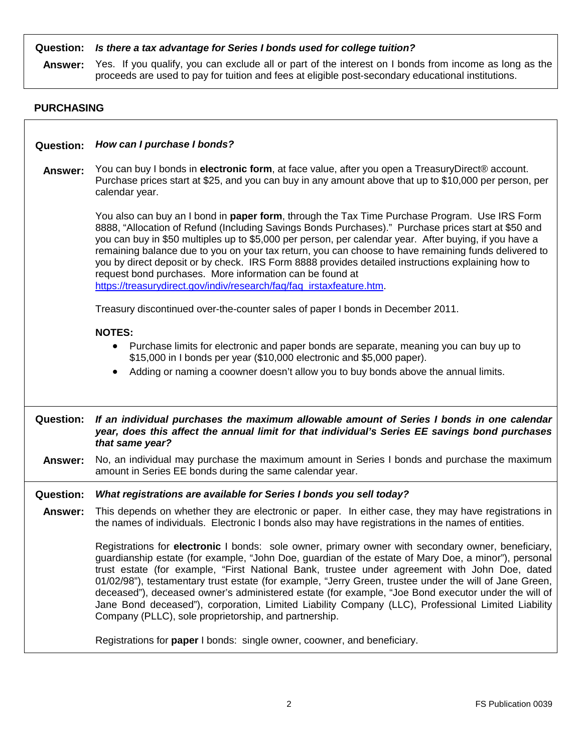| <b>Question:</b><br>Answer: | Is there a tax advantage for Series I bonds used for college tuition?<br>Yes. If you qualify, you can exclude all or part of the interest on I bonds from income as long as the<br>proceeds are used to pay for tuition and fees at eligible post-secondary educational institutions.                                                                                                                                                                                                                                                                                                                                                                                                        |  |
|-----------------------------|----------------------------------------------------------------------------------------------------------------------------------------------------------------------------------------------------------------------------------------------------------------------------------------------------------------------------------------------------------------------------------------------------------------------------------------------------------------------------------------------------------------------------------------------------------------------------------------------------------------------------------------------------------------------------------------------|--|
| <b>PURCHASING</b>           |                                                                                                                                                                                                                                                                                                                                                                                                                                                                                                                                                                                                                                                                                              |  |
| <b>Question:</b>            | How can I purchase I bonds?                                                                                                                                                                                                                                                                                                                                                                                                                                                                                                                                                                                                                                                                  |  |
|                             |                                                                                                                                                                                                                                                                                                                                                                                                                                                                                                                                                                                                                                                                                              |  |
| Answer:                     | You can buy I bonds in electronic form, at face value, after you open a Treasury Direct® account.<br>Purchase prices start at \$25, and you can buy in any amount above that up to \$10,000 per person, per<br>calendar year.                                                                                                                                                                                                                                                                                                                                                                                                                                                                |  |
|                             | You also can buy an I bond in paper form, through the Tax Time Purchase Program. Use IRS Form<br>8888, "Allocation of Refund (Including Savings Bonds Purchases)." Purchase prices start at \$50 and<br>you can buy in \$50 multiples up to \$5,000 per person, per calendar year. After buying, if you have a<br>remaining balance due to you on your tax return, you can choose to have remaining funds delivered to<br>you by direct deposit or by check. IRS Form 8888 provides detailed instructions explaining how to<br>request bond purchases. More information can be found at<br>https://treasurydirect.gov/indiv/research/faq/faq_irstaxfeature.htm.                              |  |
|                             |                                                                                                                                                                                                                                                                                                                                                                                                                                                                                                                                                                                                                                                                                              |  |
|                             | Treasury discontinued over-the-counter sales of paper I bonds in December 2011.                                                                                                                                                                                                                                                                                                                                                                                                                                                                                                                                                                                                              |  |
|                             | <b>NOTES:</b>                                                                                                                                                                                                                                                                                                                                                                                                                                                                                                                                                                                                                                                                                |  |
|                             | Purchase limits for electronic and paper bonds are separate, meaning you can buy up to<br>\$15,000 in I bonds per year (\$10,000 electronic and \$5,000 paper).                                                                                                                                                                                                                                                                                                                                                                                                                                                                                                                              |  |
|                             | Adding or naming a coowner doesn't allow you to buy bonds above the annual limits.<br>$\bullet$                                                                                                                                                                                                                                                                                                                                                                                                                                                                                                                                                                                              |  |
|                             |                                                                                                                                                                                                                                                                                                                                                                                                                                                                                                                                                                                                                                                                                              |  |
| <b>Question:</b>            | If an individual purchases the maximum allowable amount of Series I bonds in one calendar<br>year, does this affect the annual limit for that individual's Series EE savings bond purchases<br>that same year?                                                                                                                                                                                                                                                                                                                                                                                                                                                                               |  |
| <b>Answer:</b>              | No, an individual may purchase the maximum amount in Series I bonds and purchase the maximum<br>amount in Series EE bonds during the same calendar year.                                                                                                                                                                                                                                                                                                                                                                                                                                                                                                                                     |  |
| <b>Question:</b>            | What registrations are available for Series I bonds you sell today?                                                                                                                                                                                                                                                                                                                                                                                                                                                                                                                                                                                                                          |  |
| Answer:                     | This depends on whether they are electronic or paper. In either case, they may have registrations in<br>the names of individuals. Electronic I bonds also may have registrations in the names of entities.                                                                                                                                                                                                                                                                                                                                                                                                                                                                                   |  |
|                             | Registrations for electronic I bonds: sole owner, primary owner with secondary owner, beneficiary,<br>guardianship estate (for example, "John Doe, guardian of the estate of Mary Doe, a minor"), personal<br>trust estate (for example, "First National Bank, trustee under agreement with John Doe, dated<br>01/02/98"), testamentary trust estate (for example, "Jerry Green, trustee under the will of Jane Green,<br>deceased"), deceased owner's administered estate (for example, "Joe Bond executor under the will of<br>Jane Bond deceased"), corporation, Limited Liability Company (LLC), Professional Limited Liability<br>Company (PLLC), sole proprietorship, and partnership. |  |
|                             | Registrations for paper I bonds: single owner, coowner, and beneficiary.                                                                                                                                                                                                                                                                                                                                                                                                                                                                                                                                                                                                                     |  |

 $\Gamma$